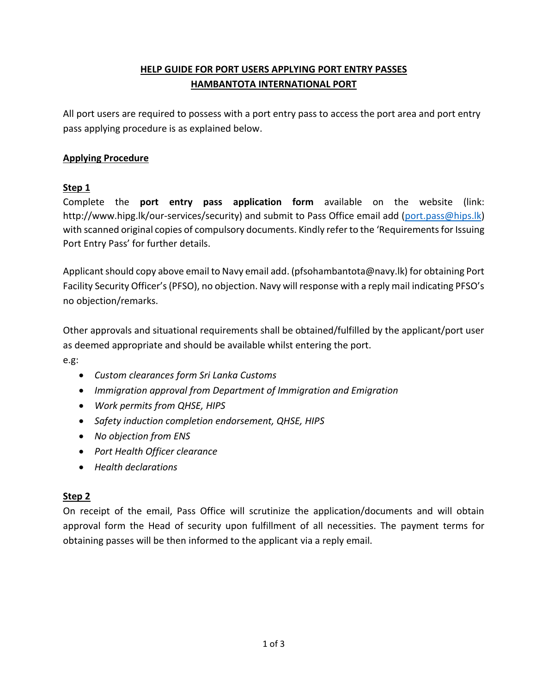# **HELP GUIDE FOR PORT USERS APPLYING PORT ENTRY PASSES HAMBANTOTA INTERNATIONAL PORT**

All port users are required to possess with a port entry pass to access the port area and port entry pass applying procedure is as explained below.

## **Applying Procedure**

## **Step 1**

Complete the **port entry pass application form** available on the website (link: http://www.hipg.lk/our-services/security) and submit to Pass Office email add [\(port.pass@hips.lk\)](mailto:port.pass@hips.lk) with scanned original copies of compulsory documents. Kindly refer to the 'Requirements for Issuing Port Entry Pass' for further details.

Applicant should copy above email to Navy email add. (pfsohambantota@navy.lk) for obtaining Port Facility Security Officer's (PFSO), no objection. Navy will response with a reply mail indicating PFSO's no objection/remarks.

Other approvals and situational requirements shall be obtained/fulfilled by the applicant/port user as deemed appropriate and should be available whilst entering the port.

e.g:

- *Custom clearances form Sri Lanka Customs*
- *Immigration approval from Department of Immigration and Emigration*
- *Work permits from QHSE, HIPS*
- *Safety induction completion endorsement, QHSE, HIPS*
- *No objection from ENS*
- *Port Health Officer clearance*
- *Health declarations*

### **Step 2**

On receipt of the email, Pass Office will scrutinize the application/documents and will obtain approval form the Head of security upon fulfillment of all necessities. The payment terms for obtaining passes will be then informed to the applicant via a reply email.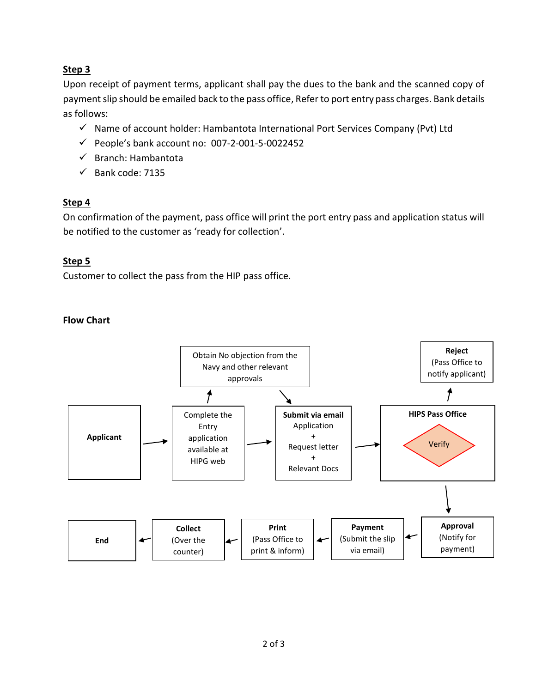## **Step 3**

Upon receipt of payment terms, applicant shall pay the dues to the bank and the scanned copy of payment slip should be emailed back to the pass office, Refer to port entry pass charges. Bank details as follows:

- $\checkmark$  Name of account holder: Hambantota International Port Services Company (Pvt) Ltd
- $\checkmark$  People's bank account no: 007-2-001-5-0022452
- $\checkmark$  Branch: Hambantota
- $\checkmark$  Bank code: 7135

## **Step 4**

On confirmation of the payment, pass office will print the port entry pass and application status will be notified to the customer as 'ready for collection'.

## **Step 5**

Customer to collect the pass from the HIP pass office.

## **Flow Chart**